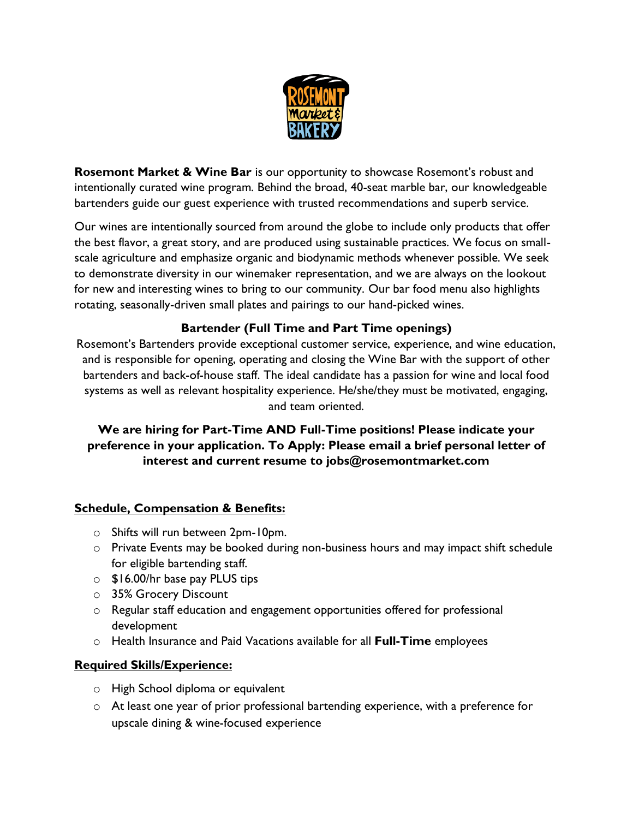

**Rosemont Market & Wine Bar** is our opportunity to showcase Rosemont's robust and intentionally curated wine program. Behind the broad, 40-seat marble bar, our knowledgeable bartenders guide our guest experience with trusted recommendations and superb service.

Our wines are intentionally sourced from around the globe to include only products that offer the best flavor, a great story, and are produced using sustainable practices. We focus on smallscale agriculture and emphasize organic and biodynamic methods whenever possible. We seek to demonstrate diversity in our winemaker representation, and we are always on the lookout for new and interesting wines to bring to our community. Our bar food menu also highlights rotating, seasonally-driven small plates and pairings to our hand-picked wines.

## **Bartender (Full Time and Part Time openings)**

Rosemont's Bartenders provide exceptional customer service, experience, and wine education, and is responsible for opening, operating and closing the Wine Bar with the support of other bartenders and back-of-house staff. The ideal candidate has a passion for wine and local food systems as well as relevant hospitality experience. He/she/they must be motivated, engaging, and team oriented.

## **We are hiring for Part-Time AND Full-Time positions! Please indicate your preference in your application. To Apply: Please email a brief personal letter of interest and current resume to jobs@rosemontmarket.com**

### **Schedule, Compensation & Benefits:**

- o Shifts will run between 2pm-10pm.
- $\circ$  Private Events may be booked during non-business hours and may impact shift schedule for eligible bartending staff.
- o \$16.00/hr base pay PLUS tips
- o 35% Grocery Discount
- o Regular staff education and engagement opportunities offered for professional development
- o Health Insurance and Paid Vacations available for all **Full-Time** employees

#### **Required Skills/Experience:**

- o High School diploma or equivalent
- $\circ$  At least one year of prior professional bartending experience, with a preference for upscale dining & wine-focused experience